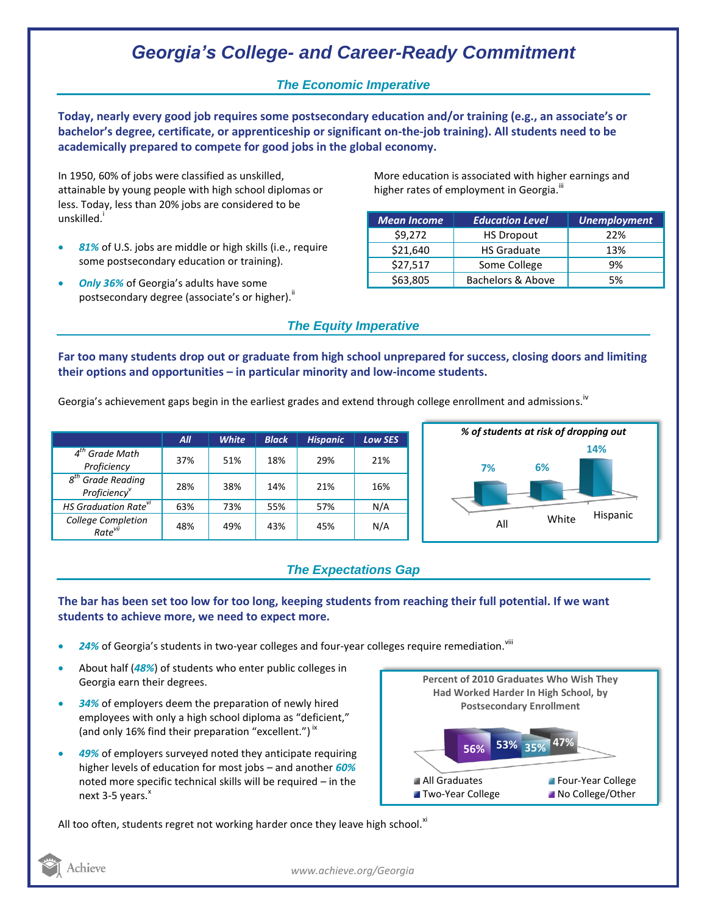## *Georgia's College- and Career-Ready Commitment*

## *The Economic Imperative*

**Today, nearly every good job requires some postsecondary education and/or training (e.g., an associate's or bachelor's degree, certificate, or apprenticeship or significant on-the-job training). All students need to be academically prepared to compete for good jobs in the global economy.**

In 1950, 60% of jobs were classified as unskilled, attainable by young people with high school diplomas or less. Today, less than 20% jobs are considered to be unskilled.<sup>i</sup>

- *81%* of U.S. jobs are middle or high skills (i.e., require some postsecondary education or training).
- *Only 36%* of Georgia's adults have some postsecondary degree (associate's or higher).<sup>ii</sup>

More education is associated with higher earnings and higher rates of employment in Georgia.<sup>""</sup>

| <b>Mean Income</b> | <b>Education Level</b> | <b>Unemployment</b> |
|--------------------|------------------------|---------------------|
| \$9,272            | <b>HS Dropout</b>      | 22%                 |
| \$21,640           | <b>HS Graduate</b>     | 13%                 |
| \$27,517           | Some College           | 9%                  |
| \$63,805           | Bachelors & Above      | 5%                  |

### *The Equity Imperative*

**Far too many students drop out or graduate from high school unprepared for success, closing doors and limiting their options and opportunities – in particular minority and low-income students.** 

Georgia's achievement gaps begin in the earliest grades and extend through college enrollment and admissions. <sup>iv</sup>

|                                                              | All | <b>White</b> | <b>Black</b> | <b>Hispanic</b> | <b>Low SES</b> |
|--------------------------------------------------------------|-----|--------------|--------------|-----------------|----------------|
| $4th$ Grade Math<br>Proficiency                              | 37% | 51%          | 18%          | 29%             | 21%            |
| <b>Grade Reading</b><br>$g^{tn}$<br>Proficiency <sup>v</sup> | 28% | 38%          | 14%          | 21%             | 16%            |
| HS Graduation Rate <sup>vi</sup>                             | 63% | 73%          | 55%          | 57%             | N/A            |
| College Completion<br>Rate <sup>vii</sup>                    | 48% | 49%          | 43%          | 45%             | N/A            |



## *The Expectations Gap*

#### **The bar has been set too low for too long, keeping students from reaching their full potential. If we want students to achieve more, we need to expect more.**

- 24% of Georgia's students in two-year colleges and four-year colleges require remediation.<sup>viii</sup>
- About half (*48%*) of students who enter public colleges in Georgia earn their degrees.
- *34%* of employers deem the preparation of newly hired employees with only a high school diploma as "deficient," (and only 16% find their preparation "excellent.")<sup>ix</sup>
- *49%* of employers surveyed noted they anticipate requiring higher levels of education for most jobs – and another *60%* noted more specific technical skills will be required – in the next  $3-5$  years. $^{x}$



All too often, students regret not working harder once they leave high school. $^{x_1}$ 



*www.achieve.org/Georgia*